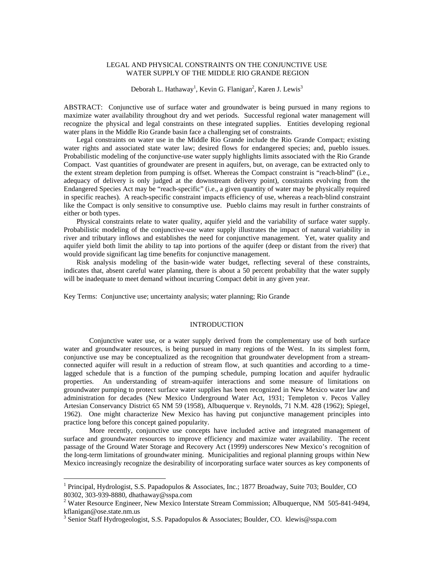# LEGAL AND PHYSICAL CONSTRAINTS ON THE CONJUNCTIVE USE WATER SUPPLY OF THE MIDDLE RIO GRANDE REGION

Deborah L. Hathaway<sup>1</sup>, Kevin G. Flanigan<sup>2</sup>, Karen J. Lewis<sup>3</sup>

ABSTRACT: Conjunctive use of surface water and groundwater is being pursued in many regions to maximize water availability throughout dry and wet periods. Successful regional water management will recognize the physical and legal constraints on these integrated supplies. Entities developing regional water plans in the Middle Rio Grande basin face a challenging set of constraints.

Legal constraints on water use in the Middle Rio Grande include the Rio Grande Compact; existing water rights and associated state water law; desired flows for endangered species; and, pueblo issues. Probabilistic modeling of the conjunctive-use water supply highlights limits associated with the Rio Grande Compact. Vast quantities of groundwater are present in aquifers, but, on average, can be extracted only to the extent stream depletion from pumping is offset. Whereas the Compact constraint is "reach-blind" (i.e., adequacy of delivery is only judged at the downstream delivery point), constraints evolving from the Endangered Species Act may be "reach-specific" (i.e., a given quantity of water may be physically required in specific reaches). A reach-specific constraint impacts efficiency of use, whereas a reach-blind constraint like the Compact is only sensitive to consumptive use. Pueblo claims may result in further constraints of either or both types.

Physical constraints relate to water quality, aquifer yield and the variability of surface water supply. Probabilistic modeling of the conjunctive-use water supply illustrates the impact of natural variability in river and tributary inflows and establishes the need for conjunctive management. Yet, water quality and aquifer yield both limit the ability to tap into portions of the aquifer (deep or distant from the river) that would provide significant lag time benefits for conjunctive management.

Risk analysis modeling of the basin-wide water budget, reflecting several of these constraints, indicates that, absent careful water planning, there is about a 50 percent probability that the water supply will be inadequate to meet demand without incurring Compact debit in any given year.

Key Terms:Conjunctive use; uncertainty analysis; water planning; Rio Grande

# INTRODUCTION

Conjunctive water use, or a water supply derived from the complementary use of both surface water and groundwater resources, is being pursued in many regions of the West. In its simplest form, conjunctive use may be conceptualized as the recognition that groundwater development from a streamconnected aquifer will result in a reduction of stream flow, at such quantities and according to a timelagged schedule that is a function of the pumping schedule, pumping location and aquifer hydraulic properties. An understanding of stream-aquifer interactions and some measure of limitations on groundwater pumping to protect surface water supplies has been recognized in New Mexico water law and administration for decades (New Mexico Underground Water Act, 1931; Templeton v. Pecos Valley Artesian Conservancy District 65 NM 59 (1958), Albuquerque v. Reynolds, 71 N.M. 428 (1962); Spiegel, 1962). One might characterize New Mexico has having put conjunctive management principles into practice long before this concept gained popularity.

More recently, conjunctive use concepts have included active and integrated management of surface and groundwater resources to improve efficiency and maximize water availability. The recent passage of the Ground Water Storage and Recovery Act (1999) underscores New Mexico's recognition of the long-term limitations of groundwater mining. Municipalities and regional planning groups within New Mexico increasingly recognize the desirability of incorporating surface water sources as key components of

1

<sup>&</sup>lt;sup>1</sup> Principal, Hydrologist, S.S. Papadopulos & Associates, Inc.; 1877 Broadway, Suite 703; Boulder, CO 80302, 303-939-8880, dhathaway@sspa.com

<sup>&</sup>lt;sup>2</sup> Water Resource Engineer, New Mexico Interstate Stream Commission; Albuquerque, NM 505-841-9494, kflanigan@ose.state.nm.us

<sup>&</sup>lt;sup>3</sup> Senior Staff Hydrogeologist, S.S. Papadopulos & Associates; Boulder, CO. klewis@sspa.com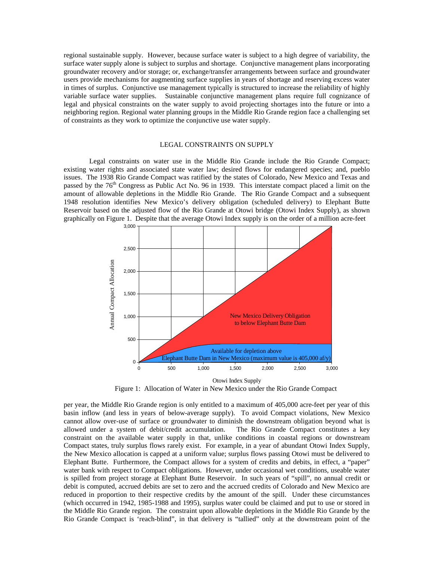regional sustainable supply. However, because surface water is subject to a high degree of variability, the surface water supply alone is subject to surplus and shortage. Conjunctive management plans incorporating groundwater recovery and/or storage; or, exchange/transfer arrangements between surface and groundwater users provide mechanisms for augmenting surface supplies in years of shortage and reserving excess water in times of surplus. Conjunctive use management typically is structured to increase the reliability of highly variable surface water supplies. Sustainable conjunctive management plans require full cognizance of legal and physical constraints on the water supply to avoid projecting shortages into the future or into a neighboring region. Regional water planning groups in the Middle Rio Grande region face a challenging set of constraints as they work to optimize the conjunctive use water supply.

# LEGAL CONSTRAINTS ON SUPPLY

Legal constraints on water use in the Middle Rio Grande include the Rio Grande Compact; existing water rights and associated state water law; desired flows for endangered species; and, pueblo issues. The 1938 Rio Grande Compact was ratified by the states of Colorado, New Mexico and Texas and passed by the  $76<sup>th</sup>$  Congress as Public Act No. 96 in 1939. This interstate compact placed a limit on the amount of allowable depletions in the Middle Rio Grande. The Rio Grande Compact and a subsequent 1948 resolution identifies New Mexico's delivery obligation (scheduled delivery) to Elephant Butte Reservoir based on the adjusted flow of the Rio Grande at Otowi bridge (Otowi Index Supply), as shown graphically on Figure 1. Despite that the average Otowi Index supply is on the order of a million acre-feet



Figure 1: Allocation of Water in New Mexico under the Rio Grande Compact

per year, the Middle Rio Grande region is only entitled to a maximum of 405,000 acre-feet per year of this basin inflow (and less in years of below-average supply). To avoid Compact violations, New Mexico cannot allow over-use of surface or groundwater to diminish the downstream obligation beyond what is allowed under a system of debit/credit accumulation. The Rio Grande Compact constitutes a key constraint on the available water supply in that, unlike conditions in coastal regions or downstream Compact states, truly surplus flows rarely exist. For example, in a year of abundant Otowi Index Supply, the New Mexico allocation is capped at a uniform value; surplus flows passing Otowi must be delivered to Elephant Butte. Furthermore, the Compact allows for a system of credits and debits, in effect, a "paper" water bank with respect to Compact obligations. However, under occasional wet conditions, useable water is spilled from project storage at Elephant Butte Reservoir. In such years of "spill", no annual credit or debit is computed, accrued debits are set to zero and the accrued credits of Colorado and New Mexico are reduced in proportion to their respective credits by the amount of the spill. Under these circumstances (which occurred in 1942, 1985-1988 and 1995), surplus water could be claimed and put to use or stored in the Middle Rio Grande region. The constraint upon allowable depletions in the Middle Rio Grande by the Rio Grande Compact is 'reach-blind", in that delivery is "tallied" only at the downstream point of the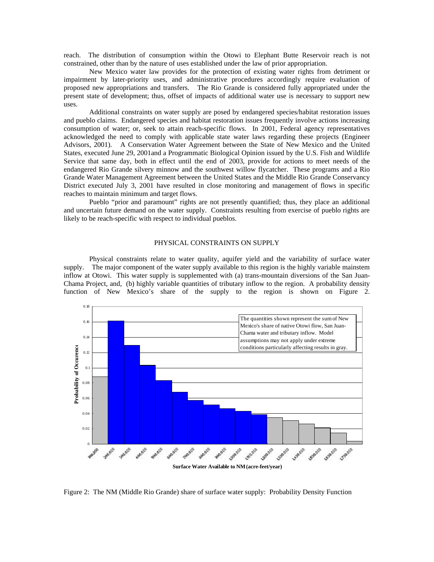reach. The distribution of consumption within the Otowi to Elephant Butte Reservoir reach is not constrained, other than by the nature of uses established under the law of prior appropriation.

New Mexico water law provides for the protection of existing water rights from detriment or impairment by later-priority uses, and administrative procedures accordingly require evaluation of proposed new appropriations and transfers. The Rio Grande is considered fully appropriated under the present state of development; thus, offset of impacts of additional water use is necessary to support new uses.

Additional constraints on water supply are posed by endangered species/habitat restoration issues and pueblo claims. Endangered species and habitat restoration issues frequently involve actions increasing consumption of water; or, seek to attain reach-specific flows. In 2001, Federal agency representatives acknowledged the need to comply with applicable state water laws regarding these projects (Engineer Advisors, 2001). A Conservation Water Agreement between the State of New Mexico and the United States, executed June 29, 2001and a Programmatic Biological Opinion issued by the U.S. Fish and Wildlife Service that same day, both in effect until the end of 2003, provide for actions to meet needs of the endangered Rio Grande silvery minnow and the southwest willow flycatcher. These programs and a Rio Grande Water Management Agreement between the United States and the Middle Rio Grande Conservancy District executed July 3, 2001 have resulted in close monitoring and management of flows in specific reaches to maintain minimum and target flows.

Pueblo "prior and paramount" rights are not presently quantified; thus, they place an additional and uncertain future demand on the water supply. Constraints resulting from exercise of pueblo rights are likely to be reach-specific with respect to individual pueblos.

# PHYSICAL CONSTRAINTS ON SUPPLY

Physical constraints relate to water quality, aquifer yield and the variability of surface water supply. The major component of the water supply available to this region is the highly variable mainstem inflow at Otowi. This water supply is supplemented with (a) trans-mountain diversions of the San Juan-Chama Project, and, (b) highly variable quantities of tributary inflow to the region. A probability density function of New Mexico's share of the supply to the region is shown on Figure 2.



Figure 2: The NM (Middle Rio Grande) share of surface water supply: Probability Density Function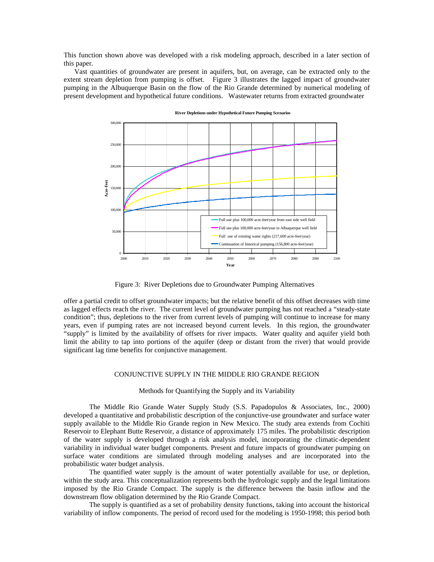This function shown above was developed with a risk modeling approach, described in a later section of this paper.

 Vast quantities of groundwater are present in aquifers, but, on average, can be extracted only to the extent stream depletion from pumping is offset. Figure 3 illustrates the lagged impact of groundwater pumping in the Albuquerque Basin on the flow of the Rio Grande determined by numerical modeling of present development and hypothetical future conditions. Wastewater returns from extracted groundwater



**River Depletions under Hypothetical Future Pumping Scenarios**

Figure 3: River Depletions due to Groundwater Pumping Alternatives

offer a partial credit to offset groundwater impacts; but the relative benefit of this offset decreases with time as lagged effects reach the river. The current level of groundwater pumping has not reached a "steady-state condition"; thus, depletions to the river from current levels of pumping will continue to increase for many years, even if pumping rates are not increased beyond current levels. In this region, the groundwater "supply" is limited by the availability of offsets for river impacts. Water quality and aquifer yield both limit the ability to tap into portions of the aquifer (deep or distant from the river) that would provide significant lag time benefits for conjunctive management.

# CONJUNCTIVE SUPPLY IN THE MIDDLE RIO GRANDE REGION

### Methods for Quantifying the Supply and its Variability

The Middle Rio Grande Water Supply Study (S.S. Papadopulos & Associates, Inc., 2000) developed a quantitative and probabilistic description of the conjunctive-use groundwater and surface water supply available to the Middle Rio Grande region in New Mexico. The study area extends from Cochiti Reservoir to Elephant Butte Reservoir, a distance of approximately 175 miles. The probabilistic description of the water supply is developed through a risk analysis model, incorporating the climatic-dependent variability in individual water budget components. Present and future impacts of groundwater pumping on surface water conditions are simulated through modeling analyses and are incorporated into the probabilistic water budget analysis.

The quantified water supply is the amount of water potentially available for use, or depletion, within the study area. This conceptualization represents both the hydrologic supply and the legal limitations imposed by the Rio Grande Compact. The supply is the difference between the basin inflow and the downstream flow obligation determined by the Rio Grande Compact.

The supply is quantified as a set of probability density functions, taking into account the historical variability of inflow components. The period of record used for the modeling is 1950-1998; this period both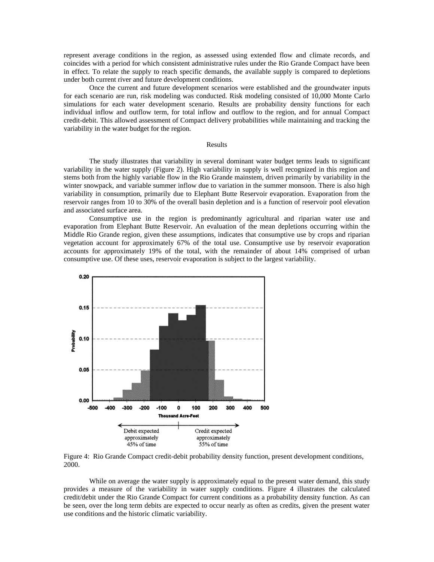represent average conditions in the region, as assessed using extended flow and climate records, and coincides with a period for which consistent administrative rules under the Rio Grande Compact have been in effect. To relate the supply to reach specific demands, the available supply is compared to depletions under both current river and future development conditions.

Once the current and future development scenarios were established and the groundwater inputs for each scenario are run, risk modeling was conducted. Risk modeling consisted of 10,000 Monte Carlo simulations for each water development scenario. Results are probability density functions for each individual inflow and outflow term, for total inflow and outflow to the region, and for annual Compact credit-debit. This allowed assessment of Compact delivery probabilities while maintaining and tracking the variability in the water budget for the region.

#### Results

The study illustrates that variability in several dominant water budget terms leads to significant variability in the water supply (Figure 2). High variability in supply is well recognized in this region and stems both from the highly variable flow in the Rio Grande mainstem, driven primarily by variability in the winter snowpack, and variable summer inflow due to variation in the summer monsoon. There is also high variability in consumption, primarily due to Elephant Butte Reservoir evaporation. Evaporation from the reservoir ranges from 10 to 30% of the overall basin depletion and is a function of reservoir pool elevation and associated surface area.

Consumptive use in the region is predominantly agricultural and riparian water use and evaporation from Elephant Butte Reservoir. An evaluation of the mean depletions occurring within the Middle Rio Grande region, given these assumptions, indicates that consumptive use by crops and riparian vegetation account for approximately 67% of the total use. Consumptive use by reservoir evaporation accounts for approximately 19% of the total, with the remainder of about 14% comprised of urban consumptive use. Of these uses, reservoir evaporation is subject to the largest variability.



Figure 4: Rio Grande Compact credit-debit probability density function, present development conditions, 2000.

While on average the water supply is approximately equal to the present water demand, this study provides a measure of the variability in water supply conditions. Figure 4 illustrates the calculated credit/debit under the Rio Grande Compact for current conditions as a probability density function. As can be seen, over the long term debits are expected to occur nearly as often as credits, given the present water use conditions and the historic climatic variability.